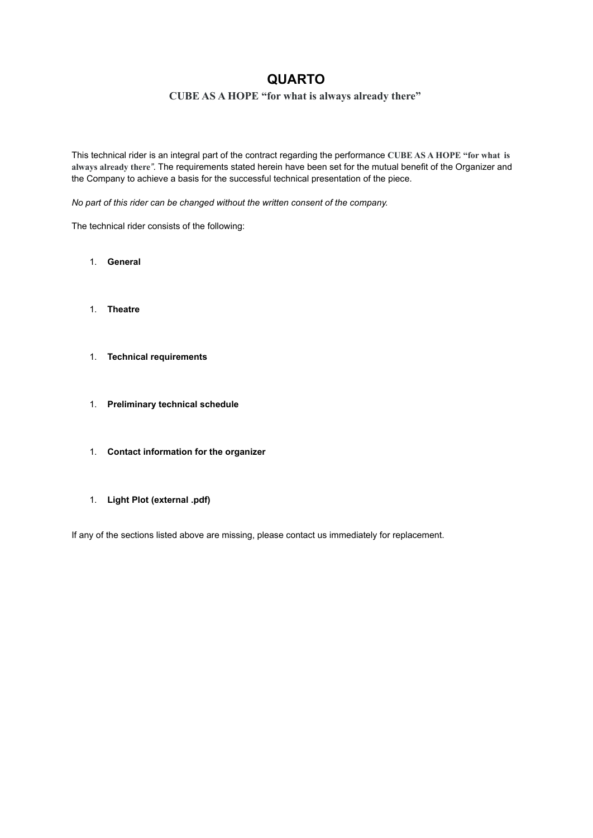# **QUARTO**

# **CUBE AS A HOPE "for what is always already there"**

This technical rider is an integral part of the contract regarding the performance **CUBE AS A HOPE "for what is always already there***"*. The requirements stated herein have been set for the mutual benefit of the Organizer and the Company to achieve a basis for the successful technical presentation of the piece.

*No part of this rider can be changed without the written consent of the company.*

The technical rider consists of the following:

- 1. **General**
- 1. **Theatre**
- 1. **Technical requirements**
- 1. **Preliminary technical schedule**
- 1. **Contact information for the organizer**
- 1. **Light Plot (external .pdf)**

If any of the sections listed above are missing, please contact us immediately for replacement.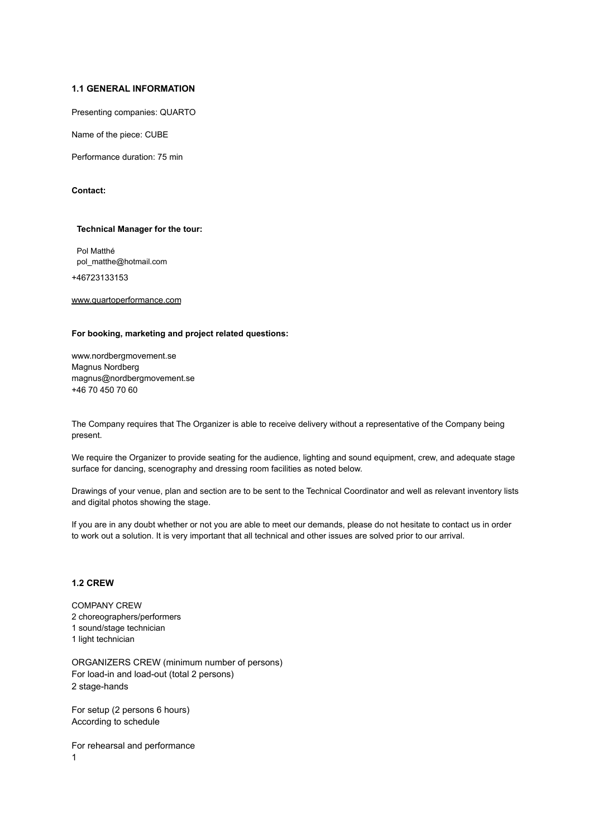#### **1.1 GENERAL INFORMATION**

Presenting companies: QUARTO

Name of the piece: CUBE

Performance duration: 75 min

**Contact:**

#### **Technical Manager for the tour:**

Pol Matthé pol\_matthe@hotmail.com

+46723133153

[www.quartoperformance.com](http://www.quartoperformance.com)

### **For booking, marketing and project related questions:**

www.nordbergmovement.se Magnus Nordberg magnus@nordbergmovement.se +46 70 450 70 60

The Company requires that The Organizer is able to receive delivery without a representative of the Company being present.

We require the Organizer to provide seating for the audience, lighting and sound equipment, crew, and adequate stage surface for dancing, scenography and dressing room facilities as noted below.

Drawings of your venue, plan and section are to be sent to the Technical Coordinator and well as relevant inventory lists and digital photos showing the stage.

If you are in any doubt whether or not you are able to meet our demands, please do not hesitate to contact us in order to work out a solution. It is very important that all technical and other issues are solved prior to our arrival.

## **1.2 CREW**

COMPANY CREW choreographers/performers sound/stage technician light technician

ORGANIZERS CREW (minimum number of persons) For load-in and load-out (total 2 persons) 2 stage-hands

For setup (2 persons 6 hours) According to schedule

For rehearsal and performance 1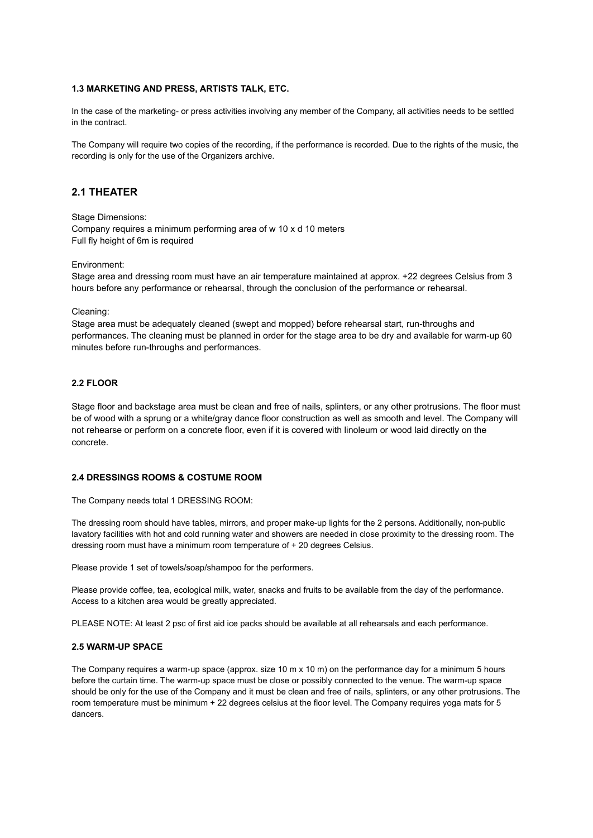#### **1.3 MARKETING AND PRESS, ARTISTS TALK, ETC.**

In the case of the marketing- or press activities involving any member of the Company, all activities needs to be settled in the contract.

The Company will require two copies of the recording, if the performance is recorded. Due to the rights of the music, the recording is only for the use of the Organizers archive.

## **2.1 THEATER**

Stage Dimensions:

Company requires a minimum performing area of w 10 x d 10 meters Full fly height of 6m is required

Environment:

Stage area and dressing room must have an air temperature maintained at approx. +22 degrees Celsius from 3 hours before any performance or rehearsal, through the conclusion of the performance or rehearsal.

Cleaning:

Stage area must be adequately cleaned (swept and mopped) before rehearsal start, run-throughs and performances. The cleaning must be planned in order for the stage area to be dry and available for warm-up 60 minutes before run-throughs and performances.

## **2.2 FLOOR**

Stage floor and backstage area must be clean and free of nails, splinters, or any other protrusions. The floor must be of wood with a sprung or a white/gray dance floor construction as well as smooth and level. The Company will not rehearse or perform on a concrete floor, even if it is covered with linoleum or wood laid directly on the concrete.

## **2.4 DRESSINGS ROOMS & COSTUME ROOM**

The Company needs total 1 DRESSING ROOM:

The dressing room should have tables, mirrors, and proper make-up lights for the 2 persons. Additionally, non-public lavatory facilities with hot and cold running water and showers are needed in close proximity to the dressing room. The dressing room must have a minimum room temperature of + 20 degrees Celsius.

Please provide 1 set of towels/soap/shampoo for the performers.

Please provide coffee, tea, ecological milk, water, snacks and fruits to be available from the day of the performance. Access to a kitchen area would be greatly appreciated.

PLEASE NOTE: At least 2 psc of first aid ice packs should be available at all rehearsals and each performance.

#### **2.5 WARM-UP SPACE**

The Company requires a warm-up space (approx. size 10 m x 10 m) on the performance day for a minimum 5 hours before the curtain time. The warm-up space must be close or possibly connected to the venue. The warm-up space should be only for the use of the Company and it must be clean and free of nails, splinters, or any other protrusions. The room temperature must be minimum + 22 degrees celsius at the floor level. The Company requires yoga mats for 5 dancers.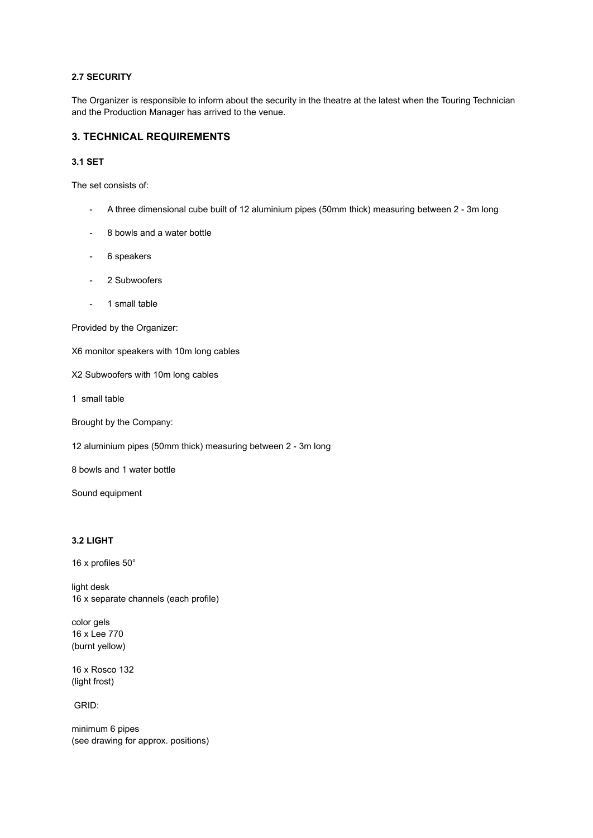## **2.7 SECURITY**

The Organizer is responsible to inform about the security in the theatre at the latest when the Touring Technician and the Production Manager has arrived to the venue.

## **3. TECHNICAL REQUIREMENTS**

## **3.1 SET**

The set consists of:

- A three dimensional cube built of 12 aluminium pipes (50mm thick) measuring between 2 3m long
- 8 bowls and a water bottle
- 6 speakers
- 2 Subwoofers
- 1 small table

Provided by the Organizer:

X6 monitor speakers with 10m long cables

X2 Subwoofers with 10m long cables

1 small table

Brought by the Company:

12 aluminium pipes (50mm thick) measuring between 2 - 3m long

8 bowls and 1 water bottle

Sound equipment

## **3.2 LIGHT**

16 x profiles 50°

light desk 16 x separate channels (each profile)

color gels 16 x Lee 770 (burnt yellow)

16 x Rosco 132 (light frost)

GRID:

minimum 6 pipes (see drawing for approx. positions)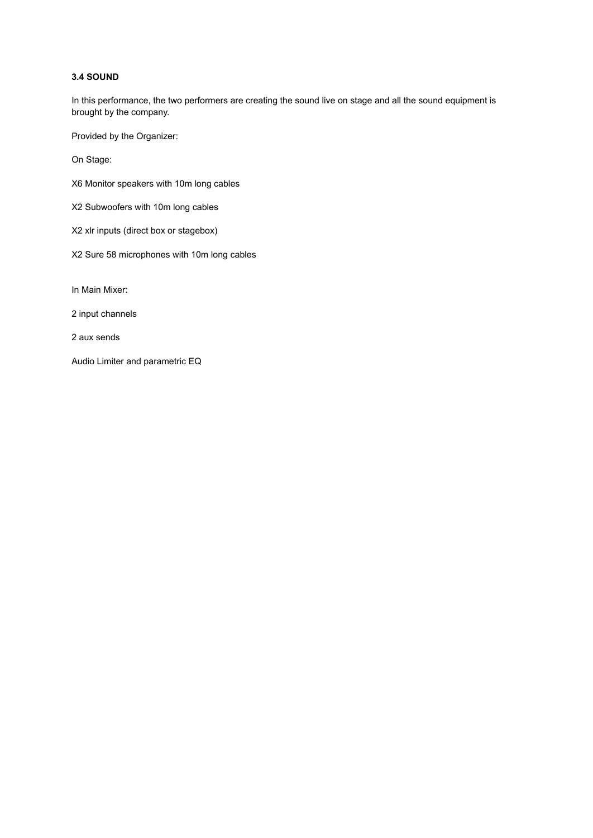## **3.4 SOUND**

In this performance, the two performers are creating the sound live on stage and all the sound equipment is brought by the company.

Provided by the Organizer:

On Stage:

- X6 Monitor speakers with 10m long cables
- X2 Subwoofers with 10m long cables
- X2 xlr inputs (direct box or stagebox)
- X2 Sure 58 microphones with 10m long cables

In Main Mixer:

2 input channels

2 aux sends

Audio Limiter and parametric EQ